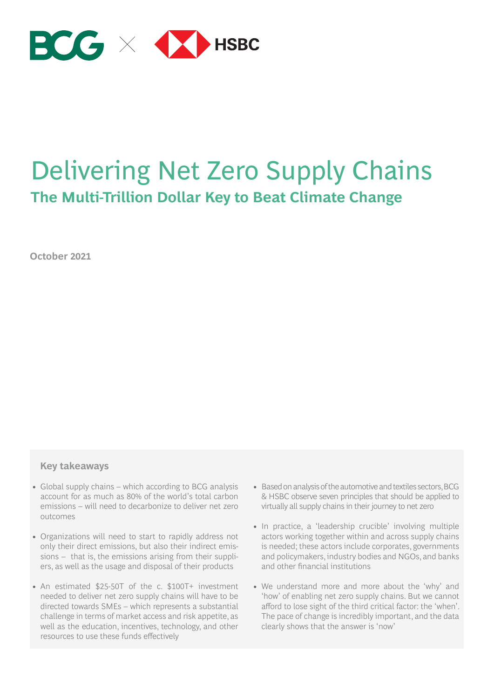

### Delivering Net Zero Supply Chains **The Multi-Trillion Dollar Key to Beat Climate Change**

**October 2021**

#### **Key takeaways**

- Global supply chains which according to BCG analysis account for as much as 80% of the world's total carbon emissions – will need to decarbonize to deliver net zero outcomes
- Organizations will need to start to rapidly address not only their direct emissions, but also their indirect emissions – that is, the emissions arising from their suppliers, as well as the usage and disposal of their products
- An estimated \$25-50T of the c. \$100T+ investment needed to deliver net zero supply chains will have to be directed towards SMEs – which represents a substantial challenge in terms of market access and risk appetite, as well as the education, incentives, technology, and other resources to use these funds effectively
- Based on analysis of the automotive and textiles sectors, BCG & HSBC observe seven principles that should be applied to virtually all supply chains in their journey to net zero
- In practice, a 'leadership crucible' involving multiple actors working together within and across supply chains is needed; these actors include corporates, governments and policymakers, industry bodies and NGOs, and banks and other financial institutions
- We understand more and more about the 'why' and 'how' of enabling net zero supply chains. But we cannot afford to lose sight of the third critical factor: the 'when'. The pace of change is incredibly important, and the data clearly shows that the answer is 'now'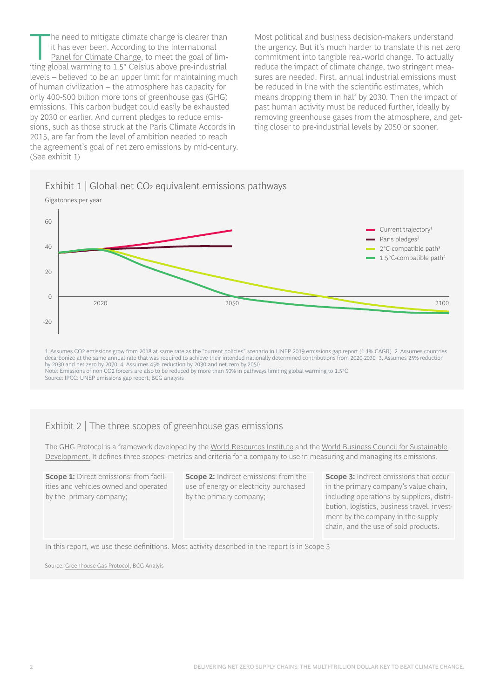[T](https://www.ipcc.ch/)he need to mitigate climate chan[ge is clearer th](https://www.ipcc.ch/)an<br>
it has ever been. According to the <u>International<br>
Panel for Climate Change</u>, to meet the goal of lim-<br>
iting global warming to 1.5% Coloius above are industrial it has ever been. According to the International iting global warming to 1.5° Celsius above pre-industrial levels – believed to be an upper limit for maintaining much of human civilization – the atmosphere has capacity for only 400-500 billion more tons of greenhouse gas (GHG) emissions. This carbon budget could easily be exhausted by 2030 or earlier. And current pledges to reduce emissions, such as those struck at the Paris Climate Accords in 2015, are far from the level of ambition needed to reach the agreement's goal of net zero emissions by mid-century. (See exhibit 1)

Most political and business decision-makers understand the urgency. But it's much harder to translate this net zero commitment into tangible real-world change. To actually reduce the impact of climate change, two stringent measures are needed. First, annual industrial emissions must be reduced in line with the scientific estimates, which means dropping them in half by 2030. Then the impact of past human activity must be reduced further, ideally by removing greenhouse gases from the atmosphere, and getting closer to pre-industrial levels by 2050 or sooner.





1. Assumes CO2 emissions grow from 2018 at same rate as the "current policies" scenario in UNEP 2019 emissions gap report (1.1% CAGR) 2. Assumes countries decarbonize at the same annual rate that was required to achieve their intended nationally determined contributions from 2020-2030 3. Assumes 25% reduction by 2030 and net zero by 2070 4. Assumes 45% reduction by 2030 and net zero by 2050 Note: Emissions of non CO2 forcers are also to be reduced by more than 50% in pathways limiting global warming to 1.5°C Source: IPCC: UNEP emissions gap report; BCG analysis

#### Exhibit 2 | The three scopes of greenhouse gas emissions

The GHG Protocol is a framework developed by the [World Resources Institute](https://www.wri.org/) and the [World Business Council for Sustainable](https://www.wbcsd.org/)  [Development.](https://www.wbcsd.org/) It defines three scopes: metrics and criteria for a company to use in measuring and managing its emissions.

**Scope 1:** Direct emissions: from facilities and vehicles owned and operated by the primary company;

**Scope 2:** Indirect emissions: from the use of energy or electricity purchased by the primary company;

**Scope 3:** Indirect emissions that occur in the primary company's value chain, including operations by suppliers, distribution, logistics, business travel, investment by the company in the supply chain, and the use of sold products.

In this report, we use these definitions. Most activity described in the report is in Scope 3

Source: [Greenhouse Gas Protocol](https://ghgprotocol.org/); BCG Analyis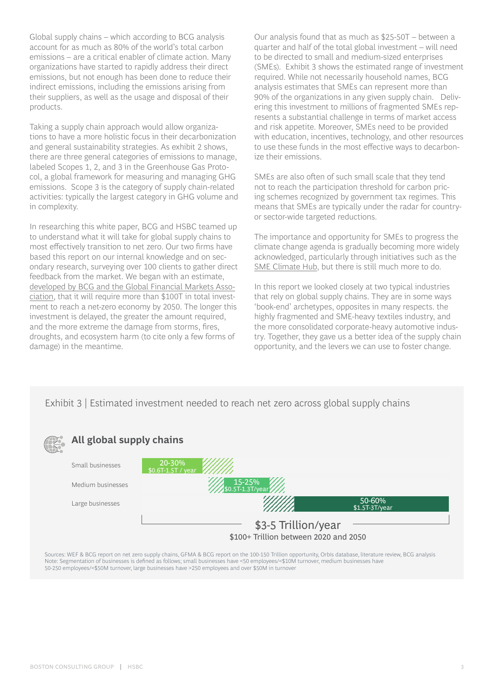Global supply chains – which according to BCG analysis account for as much as 80% of the world's total carbon emissions – are a critical enabler of climate action. Many organizations have started to rapidly address their direct emissions, but not enough has been done to reduce their indirect emissions, including the emissions arising from their suppliers, as well as the usage and disposal of their products.

Taking a supply chain approach would allow organizations to have a more holistic focus in their decarbonization and general sustainability strategies. As exhibit 2 shows, there are three general categories of emissions to manage, labeled Scopes 1, 2, and 3 in the Greenhouse Gas Protocol, a global framework for measuring and managing GHG emissions. Scope 3 is the category of supply chain-related activities: typically the largest category in GHG volume and in complexity.

In researching this white paper, BCG and HSBC teamed up to understand what it will take for global supply chains to most effectively transition to net zero. Our two firms have based this report on our internal knowledge and on secondary research, surveying over 100 clients to gather direct feedback from the market. We began with an estimate, [developed by BCG and the Global Financial Markets Asso](https://www.sifma.org/wp-content/uploads/2020/12/Climate-Finance-Markets-and-the-Real-Economy.pdf)[ciation](https://www.sifma.org/wp-content/uploads/2020/12/Climate-Finance-Markets-and-the-Real-Economy.pdf), that it will require more than \$100T in total investment to reach a net-zero economy by 2050. The longer this investment is delayed, the greater the amount required, and the more extreme the damage from storms, fires, droughts, and ecosystem harm (to cite only a few forms of damage) in the meantime.

Our analysis found that as much as \$25-50T – between a quarter and half of the total global investment – will need to be directed to small and medium-sized enterprises (SMEs). Exhibit 3 shows the estimated range of investment required. While not necessarily household names, BCG analysis estimates that SMEs can represent more than 90% of the organizations in any given supply chain. Delivering this investment to millions of fragmented SMEs represents a substantial challenge in terms of market access and risk appetite. Moreover, SMEs need to be provided with education, incentives, technology, and other resources to use these funds in the most effective ways to decarbonize their emissions.

SMEs are also often of such small scale that they tend not to reach the participation threshold for carbon pricing schemes recognized by government tax regimes. This means that SMEs are typically under the radar for countryor sector-wide targeted reductions.

The importance and opportunity for SMEs to progress the climate change agenda is gradually becoming more widely acknowledged, particularly through initiatives such as the [SME Climate Hub](https://smeclimatehub.org/), but there is still much more to do.

In this report we looked closely at two typical industries that rely on global supply chains. They are in some ways 'book-end' archetypes, opposites in many respects. the highly fragmented and SME-heavy textiles industry, and the more consolidated corporate-heavy automotive industry. Together, they gave us a better idea of the supply chain opportunity, and the levers we can use to foster change.

Exhibit 3 | Estimated investment needed to reach net zero across global supply chains



Sources: WEF & BCG report on net zero supply chains, GFMA & BCG report on the 100-150 Trillion opportunity, Orbis database, literature review, BCG analysis Note: Segmentation of businesses is defined as follows; small businesses have <50 employees/<\$10M turnover, medium businesses have 50-250 employees/<\$50M turnover, large businesses have >250 employees and over \$50M in turnover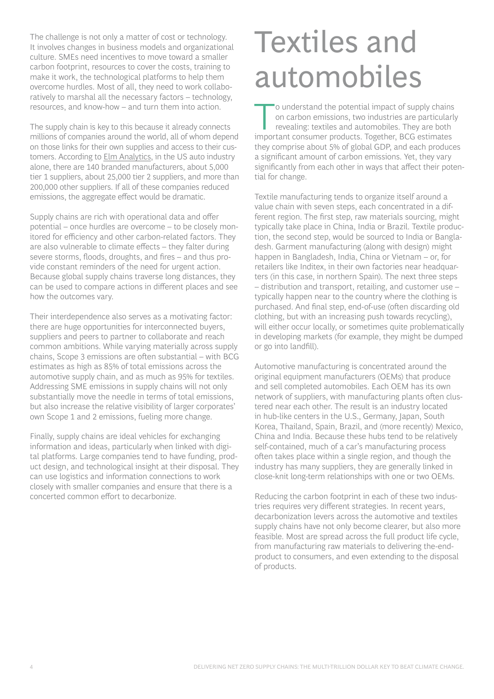The challenge is not only a matter of cost or technology. It involves changes in business models and organizational culture. SMEs need incentives to move toward a smaller carbon footprint, resources to cover the costs, training to make it work, the technological platforms to help them overcome hurdles. Most of all, they need to work collaboratively to marshal all the necessary factors – technology, resources, and know-how – and turn them into action.

The supply chain is key to this because it already connects millions of companies around the world, all of whom depend on those links for their own supplies and access to their customers. According to [Elm Analytics,](https://www.linkedin.com/pulse/ever-wonder-how-many-us-auto-suppliers-really-tor-hough/) in the US auto industry alone, there are 140 branded manufacturers, about 5,000 tier 1 suppliers, about 25,000 tier 2 suppliers, and more than 200,000 other suppliers. If all of these companies reduced emissions, the aggregate effect would be dramatic.

Supply chains are rich with operational data and offer potential – once hurdles are overcome – to be closely monitored for efficiency and other carbon-related factors. They are also vulnerable to climate effects – they falter during severe storms, floods, droughts, and fires – and thus provide constant reminders of the need for urgent action. Because global supply chains traverse long distances, they can be used to compare actions in different places and see how the outcomes vary.

Their interdependence also serves as a motivating factor: there are huge opportunities for interconnected buyers, suppliers and peers to partner to collaborate and reach common ambitions. While varying materially across supply chains, Scope 3 emissions are often substantial – with BCG estimates as high as 85% of total emissions across the automotive supply chain, and as much as 95% for textiles. Addressing SME emissions in supply chains will not only substantially move the needle in terms of total emissions, but also increase the relative visibility of larger corporates' own Scope 1 and 2 emissions, fueling more change.

Finally, supply chains are ideal vehicles for exchanging information and ideas, particularly when linked with digital platforms. Large companies tend to have funding, product design, and technological insight at their disposal. They can use logistics and information connections to work closely with smaller companies and ensure that there is a concerted common effort to decarbonize.

# Textiles and automobiles

To understand the potential impact of supply chains<br>
on carbon emissions, two industries are particularly<br>
revealing: textiles and automobiles. They are both<br>
impacted applying are produced and the particles. on carbon emissions, two industries are particularly important consumer products. Together, BCG estimates they comprise about 5% of global GDP, and each produces a significant amount of carbon emissions. Yet, they vary significantly from each other in ways that affect their potential for change.

Textile manufacturing tends to organize itself around a value chain with seven steps, each concentrated in a different region. The first step, raw materials sourcing, might typically take place in China, India or Brazil. Textile production, the second step, would be sourced to India or Bangladesh. Garment manufacturing (along with design) might happen in Bangladesh, India, China or Vietnam – or, for retailers like Inditex, in their own factories near headquarters (in this case, in northern Spain). The next three steps – distribution and transport, retailing, and customer use – typically happen near to the country where the clothing is purchased. And final step, end-of-use (often discarding old clothing, but with an increasing push towards recycling), will either occur locally, or sometimes quite problematically in developing markets (for example, they might be dumped or go into landfill).

Automotive manufacturing is concentrated around the original equipment manufacturers (OEMs) that produce and sell completed automobiles. Each OEM has its own network of suppliers, with manufacturing plants often clustered near each other. The result is an industry located in hub-like centers in the U.S., Germany, Japan, South Korea, Thailand, Spain, Brazil, and (more recently) Mexico, China and India. Because these hubs tend to be relatively self-contained, much of a car's manufacturing process often takes place within a single region, and though the industry has many suppliers, they are generally linked in close-knit long-term relationships with one or two OEMs.

Reducing the carbon footprint in each of these two industries requires very different strategies. In recent years, decarbonization levers across the automotive and textiles supply chains have not only become clearer, but also more feasible. Most are spread across the full product life cycle, from manufacturing raw materials to delivering the-endproduct to consumers, and even extending to the disposal of products.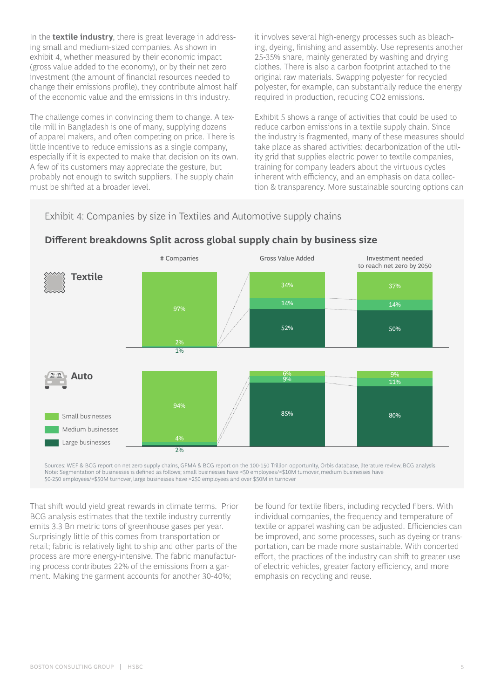In the **textile industry**, there is great leverage in addressing small and medium-sized companies. As shown in exhibit 4, whether measured by their economic impact (gross value added to the economy), or by their net zero investment (the amount of financial resources needed to change their emissions profile), they contribute almost half of the economic value and the emissions in this industry.

The challenge comes in convincing them to change. A textile mill in Bangladesh is one of many, supplying dozens of apparel makers, and often competing on price. There is little incentive to reduce emissions as a single company, especially if it is expected to make that decision on its own. A few of its customers may appreciate the gesture, but probably not enough to switch suppliers. The supply chain must be shifted at a broader level.

it involves several high-energy processes such as bleaching, dyeing, finishing and assembly. Use represents another 25-35% share, mainly generated by washing and drying clothes. There is also a carbon footprint attached to the original raw materials. Swapping polyester for recycled polyester, for example, can substantially reduce the energy required in production, reducing CO2 emissions.

Exhibit 5 shows a range of activities that could be used to reduce carbon emissions in a textile supply chain. Since the industry is fragmented, many of these measures should take place as shared activities: decarbonization of the utility grid that supplies electric power to textile companies, training for company leaders about the virtuous cycles inherent with efficiency, and an emphasis on data collection & transparency. More sustainable sourcing options can

#### Exhibit 4: Companies by size in Textiles and Automotive supply chains



#### **Different breakdowns Split across global supply chain by business size**

Sources: WEF & BCG report on net zero supply chains, GFMA & BCG report on the 100-150 Trillion opportunity, Orbis database, literature review, BCG analysis Note: Segmentation of businesses is defined as follows; small businesses have <50 employees/<\$10M turnover, medium businesses have 50-250 employees/<\$50M turnover, large businesses have >250 employees and over \$50M in turnover

That shift would yield great rewards in climate terms. Prior BCG analysis estimates that the textile industry currently emits 3.3 Bn metric tons of greenhouse gases per year. Surprisingly little of this comes from transportation or retail; fabric is relatively light to ship and other parts of the process are more energy-intensive. The fabric manufacturing process contributes 22% of the emissions from a garment. Making the garment accounts for another 30-40%;

be found for textile fibers, including recycled fibers. With individual companies, the frequency and temperature of textile or apparel washing can be adjusted. Efficiencies can be improved, and some processes, such as dyeing or transportation, can be made more sustainable. With concerted effort, the practices of the industry can shift to greater use of electric vehicles, greater factory efficiency, and more emphasis on recycling and reuse.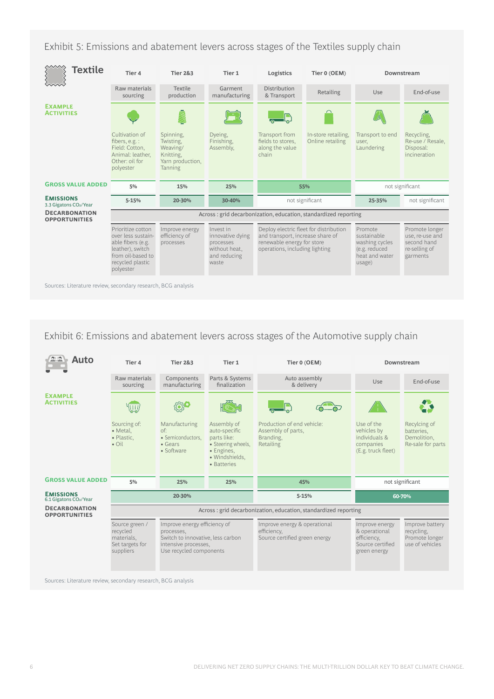Exhibit 5: Emissions and abatement levers across stages of the Textiles supply chain



Exhibit 6: Emissions and abatement levers across stages of the Automotive supply chain

| Auto                                         | Tier 4                                                                   | <b>Tier 2&amp;3</b>                                                                                                                | Tier 1                                                                                                           | Tier 0 (OEM)                                                                 | Downstream                                                                         |                                                                    |
|----------------------------------------------|--------------------------------------------------------------------------|------------------------------------------------------------------------------------------------------------------------------------|------------------------------------------------------------------------------------------------------------------|------------------------------------------------------------------------------|------------------------------------------------------------------------------------|--------------------------------------------------------------------|
|                                              | Raw materials<br>sourcing                                                | Components<br>manufacturing                                                                                                        | Parts & Systems<br>finalization                                                                                  | Auto assembly<br>& delivery                                                  | Use                                                                                | End-of-use                                                         |
| <b>EXAMPLE</b><br><b>ACTIVITIES</b>          |                                                                          |                                                                                                                                    |                                                                                                                  |                                                                              |                                                                                    |                                                                    |
|                                              | Sourcing of:<br>• Metal,<br>• Plastic,<br>$\bullet$ Oil                  | Manufacturing<br>$\circ$ f:<br>• Semiconductors,<br>• Gears<br>• Software                                                          | Assembly of<br>auto-specific<br>parts like:<br>• Steering wheels,<br>· Engines,<br>· Windshields.<br>• Batteries | Production of end vehicle:<br>Assembly of parts,<br>Branding,<br>Retailing   | Use of the<br>vehicles by<br>individuals &<br>companies<br>(E.g. truck fleet)      | Recylcing of<br>batteries,<br>Demolition,<br>Re-sale for parts     |
| <b>GROSS VALUE ADDED</b>                     | 5%                                                                       | 25%                                                                                                                                | 25%                                                                                                              | 45%                                                                          | not significant                                                                    |                                                                    |
| <b>EMISSIONS</b><br>6.1 Gigatons CO2/Year    | 20-30%                                                                   |                                                                                                                                    |                                                                                                                  | $5 - 15%$                                                                    | 60-70%                                                                             |                                                                    |
| <b>DECARBONATION</b><br><b>OPPORTUNITIES</b> | Across: grid decarbonization, education, standardized reporting          |                                                                                                                                    |                                                                                                                  |                                                                              |                                                                                    |                                                                    |
|                                              | Source green /<br>recycled<br>materials,<br>Set targets for<br>suppliers | Improve energy efficiency of<br>processes,<br>Switch to innovative, less carbon<br>intensive processes,<br>Use recycled components |                                                                                                                  | Improve energy & operational<br>efficiency,<br>Source certified green energy | Improve energy<br>& operational<br>efficiency,<br>Source certified<br>green energy | Improve battery<br>recycling,<br>Promote longer<br>use of vehicles |

Sources: Literature review, secondary research, BCG analysis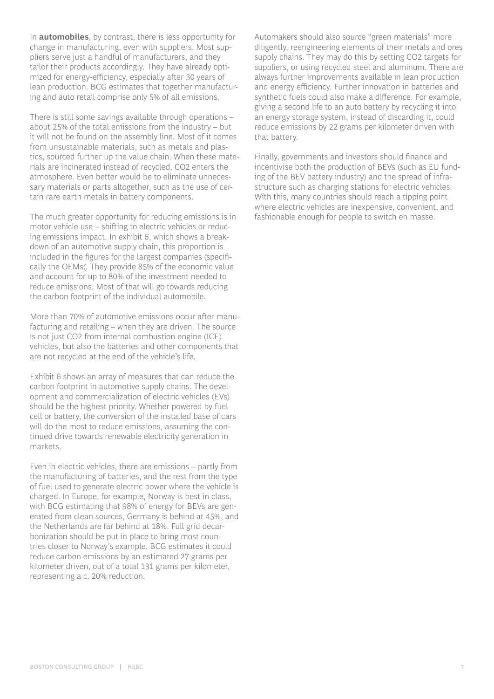In **automobiles**, by contrast, there is less opportunity for change in manufacturing, even with suppliers. Most suppliers serve just a handful of manufacturers, and they tailor their products accordingly. They have already optimized for energy-efficiency, especially after 30 years of lean production. BCG estimates that together manufacturing and auto retail comprise only 5% of all emissions.

There is still some savings available through operations – about 25% of the total emissions from the industry – but it will not be found on the assembly line. Most of it comes from unsustainable materials, such as metals and plastics, sourced further up the value chain. When these materials are incinerated instead of recycled, CO2 enters the atmosphere. Even better would be to eliminate unnecessary materials or parts altogether, such as the use of certain rare earth metals in battery components.

The much greater opportunity for reducing emissions is in motor vehicle use – shifting to electric vehicles or reducing emissions impact. In exhibit 6, which shows a breakdown of an automotive supply chain, this proportion is included in the figures for the largest companies (specifically the OEMs(. They provide 85% of the economic value and account for up to 80% of the investment needed to reduce emissions. Most of that will go towards reducing the carbon footprint of the individual automobile.

More than 70% of automotive emissions occur after manufacturing and retailing – when they are driven. The source is not just CO2 from internal combustion engine (ICE) vehicles, but also the batteries and other components that are not recycled at the end of the vehicle's life.

Exhibit 6 shows an array of measures that can reduce the carbon footprint in automotive supply chains. The development and commercialization of electric vehicles (EVs) should be the highest priority. Whether powered by fuel cell or battery, the conversion of the installed base of cars will do the most to reduce emissions, assuming the continued drive towards renewable electricity generation in markets.

Even in electric vehicles, there are emissions – partly from the manufacturing of batteries, and the rest from the type of fuel used to generate electric power where the vehicle is charged. In Europe, for example, Norway is best in class, with BCG estimating that 98% of energy for BEVs are generated from clean sources, Germany is behind at 45%, and the Netherlands are far behind at 18%. Full grid decarbonization should be put in place to bring most countries closer to Norway's example. BCG estimates it could reduce carbon emissions by an estimated 27 grams per kilometer driven, out of a total 131 grams per kilometer, representing a c. 20% reduction.

Automakers should also source "green materials" more diligently, reengineering elements of their metals and ores supply chains. They may do this by setting CO2 targets for suppliers, or using recycled steel and aluminum. There are always further improvements available in lean production and energy efficiency. Further innovation in batteries and synthetic fuels could also make a difference. For example, giving a second life to an auto battery by recycling it into an energy storage system, instead of discarding it, could reduce emissions by 22 grams per kilometer driven with that battery.

Finally, governments and investors should finance and incentivise both the production of BEVs (such as EU funding of the BEV battery industry) and the spread of infrastructure such as charging stations for electric vehicles. With this, many countries should reach a tipping point where electric vehicles are inexpensive, convenient, and fashionable enough for people to switch en masse.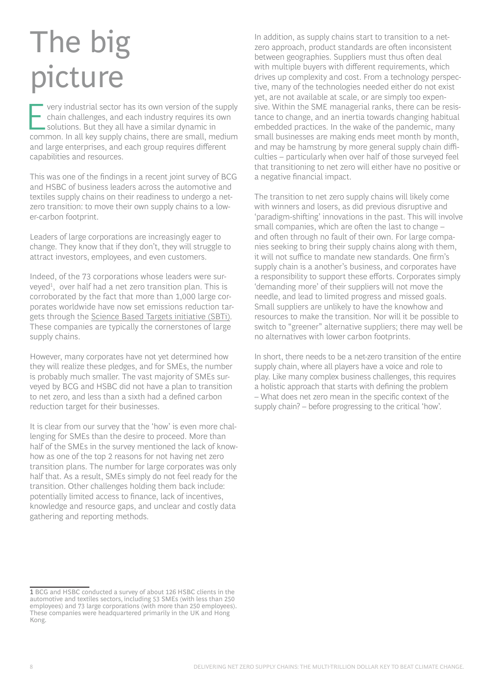# The big picture

very industrial sector has its own version of the supply<br>chain challenges, and each industry requires its own<br>solutions. But they all have a similar dynamic in<br>somman, in all kay supply shains, there are small, modium chain challenges, and each industry requires its own solutions. But they all have a similar dynamic in common. In all key supply chains, there are small, medium and large enterprises, and each group requires different capabilities and resources.

This was one of the findings in a recent joint survey of BCG and HSBC of business leaders across the automotive and textiles supply chains on their readiness to undergo a netzero transition: to move their own supply chains to a lower-carbon footprint.

Leaders of large corporations are increasingly eager to change. They know that if they don't, they will struggle to attract investors, employees, and even customers.

Indeed, of the 73 corporations whose leaders were surveyed<sup>1</sup>, over half had a net zero transition plan. This is corroborated by the fact that more than 1,000 large corporates worldwide have now set emissions reduction targets through the [Science Based Targets initiative \(SBTi\)](https://sciencebasedtargets.org/companies-taking-action). These companies are typically the cornerstones of large supply chains.

However, many corporates have not yet determined how they will realize these pledges, and for SMEs, the number is probably much smaller. The vast majority of SMEs surveyed by BCG and HSBC did not have a plan to transition to net zero, and less than a sixth had a defined carbon reduction target for their businesses.

It is clear from our survey that the 'how' is even more challenging for SMEs than the desire to proceed. More than half of the SMEs in the survey mentioned the lack of knowhow as one of the top 2 reasons for not having net zero transition plans. The number for large corporates was only half that. As a result, SMEs simply do not feel ready for the transition. Other challenges holding them back include: potentially limited access to finance, lack of incentives, knowledge and resource gaps, and unclear and costly data gathering and reporting methods.

1 BCG and HSBC conducted a survey of about 126 HSBC clients in the automotive and textiles sectors, including 53 SMEs (with less than 250 employees) and 73 large corporations (with more than 250 employees). These companies were headquartered primarily in the UK and Hong Kong.

In addition, as supply chains start to transition to a netzero approach, product standards are often inconsistent between geographies. Suppliers must thus often deal with multiple buyers with different requirements, which drives up complexity and cost. From a technology perspective, many of the technologies needed either do not exist yet, are not available at scale, or are simply too expensive. Within the SME managerial ranks, there can be resistance to change, and an inertia towards changing habitual embedded practices. In the wake of the pandemic, many small businesses are making ends meet month by month, and may be hamstrung by more general supply chain difficulties – particularly when over half of those surveyed feel that transitioning to net zero will either have no positive or a negative financial impact.

The transition to net zero supply chains will likely come with winners and losers, as did previous disruptive and 'paradigm-shifting' innovations in the past. This will involve small companies, which are often the last to change – and often through no fault of their own. For large companies seeking to bring their supply chains along with them, it will not suffice to mandate new standards. One firm's supply chain is a another's business, and corporates have a responsibility to support these efforts. Corporates simply 'demanding more' of their suppliers will not move the needle, and lead to limited progress and missed goals. Small suppliers are unlikely to have the knowhow and resources to make the transition. Nor will it be possible to switch to "greener" alternative suppliers; there may well be no alternatives with lower carbon footprints.

In short, there needs to be a net-zero transition of the entire supply chain, where all players have a voice and role to play. Like many complex business challenges, this requires a holistic approach that starts with defining the problem – What does net zero mean in the specific context of the supply chain? – before progressing to the critical 'how'.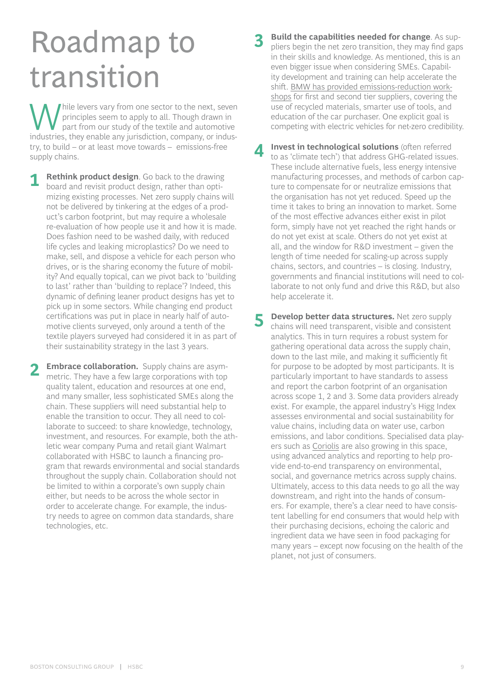# Roadmap to transition

While levers vary from one sector to the next, seven<br>
part from our study of the textile and automotive<br>
industries they enable any interiorities company or inducprinciples seem to apply to all. Though drawn in industries, they enable any jurisdiction, company, or industry, to build – or at least move towards – emissions-free supply chains.

**1 Rethink product design**. Go back to the drawing board and revisit product design, rather than optimizing existing processes. Net zero supply chains will not be delivered by tinkering at the edges of a product's carbon footprint, but may require a wholesale re-evaluation of how people use it and how it is made. Does fashion need to be washed daily, with reduced life cycles and leaking microplastics? Do we need to make, sell, and dispose a vehicle for each person who drives, or is the sharing economy the future of mobility? And equally topical, can we pivot back to 'building to last' rather than 'building to replace'? Indeed, this dynamic of defining leaner product designs has yet to pick up in some sectors. While changing end product certifications was put in place in nearly half of automotive clients surveyed, only around a tenth of the textile players surveyed had considered it in as part of their sustainability strategy in the last 3 years.

**Embrace collaboration.** Supply chains are asymmetric. They have a few large corporations with top quality talent, education and resources at one end, and many smaller, less sophisticated SMEs along the chain. These suppliers will need substantial help to enable the transition to occur. They all need to collaborate to succeed: to share knowledge, technology, investment, and resources. For example, both the athletic wear company Puma and retail giant Walmart collaborated with HSBC to launch a financing program that rewards environmental and social standards throughout the supply chain. Collaboration should not be limited to within a corporate's own supply chain either, but needs to be across the whole sector in order to accelerate change. For example, the industry needs to agree on common data standards, share technologies, etc.

**Build the capabilities needed for change**. As suppliers begin the net zero transition, they may find gaps in their skills and knowledge. As mentioned, this is an even bigger issue when considering SMEs. Capability development and training can help accelerate the shift. [BMW has provided emissions-reduction work](https://www.bmwgroup.com/content/dam/grpw/websites/bmwgroup_com/ir/downloads/en/2016/2016-BMW-Group-Sustainable-Value-Report.pdf)[shops](https://www.bmwgroup.com/content/dam/grpw/websites/bmwgroup_com/ir/downloads/en/2016/2016-BMW-Group-Sustainable-Value-Report.pdf) for first and second tier suppliers, covering the use of recycled materials, smarter use of tools, and education of the car purchaser. One explicit goal is competing with electric vehicles for net-zero credibility.

**4 Invest in technological solutions** (often referred to as 'climate tech') that address GHG-related issues. These include alternative fuels, less energy intensive manufacturing processes, and methods of carbon capture to compensate for or neutralize emissions that the organisation has not yet reduced. Speed up the time it takes to bring an innovation to market. Some of the most effective advances either exist in pilot form, simply have not yet reached the right hands or do not yet exist at scale. Others do not yet exist at all, and the window for R&D investment – given the length of time needed for scaling-up across supply chains, sectors, and countries – is closing. Industry, governments and financial institutions will need to collaborate to not only fund and drive this R&D, but also help accelerate it.

**5 Develop better data structures.** Net zero supply chains will need transparent, visible and consistent analytics. This in turn requires a robust system for gathering operational data across the supply chain, down to the last mile, and making it sufficiently fit for purpose to be adopted by most participants. It is particularly important to have standards to assess and report the carbon footprint of an organisation across scope 1, 2 and 3. Some data providers already exist. For example, the apparel industry's Higg Index assesses environmental and social sustainability for value chains, including data on water use, carbon emissions, and labor conditions. Specialised data players such as [Coriolis](https://coriolistechnologies.com/) are also growing in this space, using advanced analytics and reporting to help provide end-to-end transparency on environmental, social, and governance metrics across supply chains. Ultimately, access to this data needs to go all the way downstream, and right into the hands of consumers. For example, there's a clear need to have consistent labelling for end consumers that would help with their purchasing decisions, echoing the caloric and ingredient data we have seen in food packaging for many years – except now focusing on the health of the planet, not just of consumers.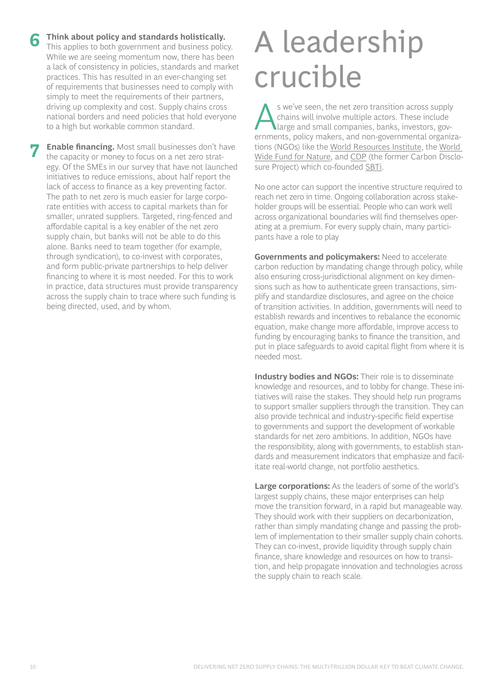**Enable financing.** Most small businesses don't have the capacity or money to focus on a net zero strategy. Of the SMEs in our survey that have not launched initiatives to reduce emissions, about half report the lack of access to finance as a key preventing factor. The path to net zero is much easier for large corporate entities with access to capital markets than for smaller, unrated suppliers. Targeted, ring-fenced and affordable capital is a key enabler of the net zero supply chain, but banks will not be able to do this alone. Banks need to team together (for example, through syndication), to co-invest with corporates, and form public-private partnerships to help deliver financing to where it is most needed. For this to work in practice, data structures must provide transparency across the supply chain to trace where such funding is being directed, used, and by whom.

# A leadership crucible

s we've seen, the net zero transition across supply<br>chains will involve multiple actors. These include<br>large and small companies, banks, investors, gov-<br>companie, policy makers, and non-governmental experience chains will involve multiple actors. These include ernments, policy makers, and non-governmental organizations (NGOs) like the [World Resources Institute](https://www.wri.org/), the [World](https://www.wwf.org.uk/)  [Wide Fund for Nature,](https://www.wwf.org.uk/) and [CDP](https://www.cdp.net/) (the former Carbon Disclosure Project) which co-founded [SBTi](https://sciencebasedtargets.org/).

No one actor can support the incentive structure required to reach net zero in time. Ongoing collaboration across stakeholder groups will be essential. People who can work well across organizational boundaries will find themselves operating at a premium. For every supply chain, many participants have a role to play

**Governments and policymakers:** Need to accelerate carbon reduction by mandating change through policy, while also ensuring cross-jurisdictional alignment on key dimensions such as how to authenticate green transactions, simplify and standardize disclosures, and agree on the choice of transition activities. In addition, governments will need to establish rewards and incentives to rebalance the economic equation, make change more affordable, improve access to funding by encouraging banks to finance the transition, and put in place safeguards to avoid capital flight from where it is needed most.

**Industry bodies and NGOs:** Their role is to disseminate knowledge and resources, and to lobby for change. These initiatives will raise the stakes. They should help run programs to support smaller suppliers through the transition. They can also provide technical and industry-specific field expertise to governments and support the development of workable standards for net zero ambitions. In addition, NGOs have the responsibility, along with governments, to establish standards and measurement indicators that emphasize and facilitate real-world change, not portfolio aesthetics.

**Large corporations:** As the leaders of some of the world's largest supply chains, these major enterprises can help move the transition forward, in a rapid but manageable way. They should work with their suppliers on decarbonization, rather than simply mandating change and passing the problem of implementation to their smaller supply chain cohorts. They can co-invest, provide liquidity through supply chain finance, share knowledge and resources on how to transition, and help propagate innovation and technologies across the supply chain to reach scale.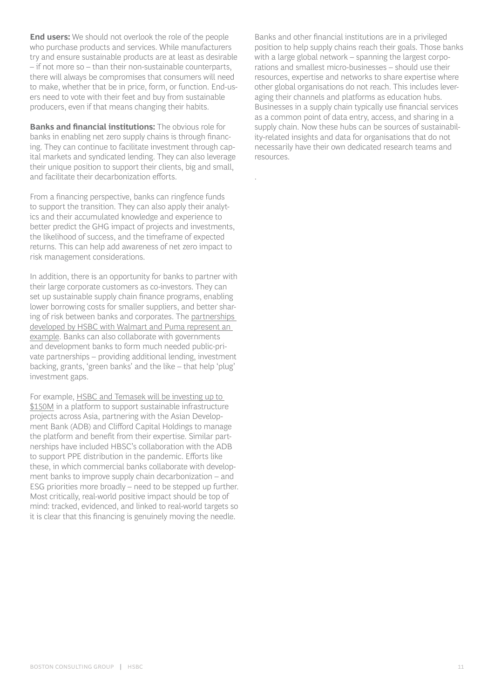**End users:** We should not overlook the role of the people who purchase products and services. While manufacturers try and ensure sustainable products are at least as desirable – if not more so – than their non-sustainable counterparts, there will always be compromises that consumers will need to make, whether that be in price, form, or function. End-users need to vote with their feet and buy from sustainable producers, even if that means changing their habits.

**Banks and financial institutions:** The obvious role for banks in enabling net zero supply chains is through financing. They can continue to facilitate investment through capital markets and syndicated lending. They can also leverage their unique position to support their clients, big and small, and facilitate their decarbonization efforts.

From a financing perspective, banks can ringfence funds to support the transition. They can also apply their analytics and their accumulated knowledge and experience to better predict the GHG impact of projects and investments, the likelihood of success, and the timeframe of expected returns. This can help add awareness of net zero impact to risk management considerations.

In addition, there is an opportunity for banks to partner with their large corporate customers as co-investors. They can set up sustainable supply chain finance programs, enabling lower borrowing costs for smaller suppliers, and better sharing of risk between banks and corporates. The [partnerships](https://www.hsbc.com/news-and-media/media-releases/2020/hsbc-sets-out-ambition-to-build-a-net-zero-economy)  [developed by HSBC with Walmart and Puma represent an](https://www.hsbc.com/news-and-media/media-releases/2020/hsbc-sets-out-ambition-to-build-a-net-zero-economy)  [example](https://www.hsbc.com/news-and-media/media-releases/2020/hsbc-sets-out-ambition-to-build-a-net-zero-economy). Banks can also collaborate with governments and development banks to form much needed public-private partnerships – providing additional lending, investment backing, grants, 'green banks' and the like – that help 'plug' investment gaps.

For example, [HSBC and Temasek will be investing up to](https://www.hsbc.com/news-and-media/media-releases/2021/hsbc-and-temasek-launch-partnership-to-catalyse-sustainable-infrastructure-projects-in-asia)  [\\$150M](https://www.hsbc.com/news-and-media/media-releases/2021/hsbc-and-temasek-launch-partnership-to-catalyse-sustainable-infrastructure-projects-in-asia) in a platform to support sustainable infrastructure projects across Asia, partnering with the Asian Development Bank (ADB) and Clifford Capital Holdings to manage the platform and benefit from their expertise. Similar partnerships have included HBSC's collaboration with the ADB to support PPE distribution in the pandemic. Efforts like these, in which commercial banks collaborate with development banks to improve supply chain decarbonization – and ESG priorities more broadly – need to be stepped up further. Most critically, real-world positive impact should be top of mind: tracked, evidenced, and linked to real-world targets so it is clear that this financing is genuinely moving the needle.

Banks and other financial institutions are in a privileged position to help supply chains reach their goals. Those banks with a large global network – spanning the largest corporations and smallest micro-businesses – should use their resources, expertise and networks to share expertise where other global organisations do not reach. This includes leveraging their channels and platforms as education hubs. Businesses in a supply chain typically use financial services as a common point of data entry, access, and sharing in a supply chain. Now these hubs can be sources of sustainability-related insights and data for organisations that do not necessarily have their own dedicated research teams and resources.

.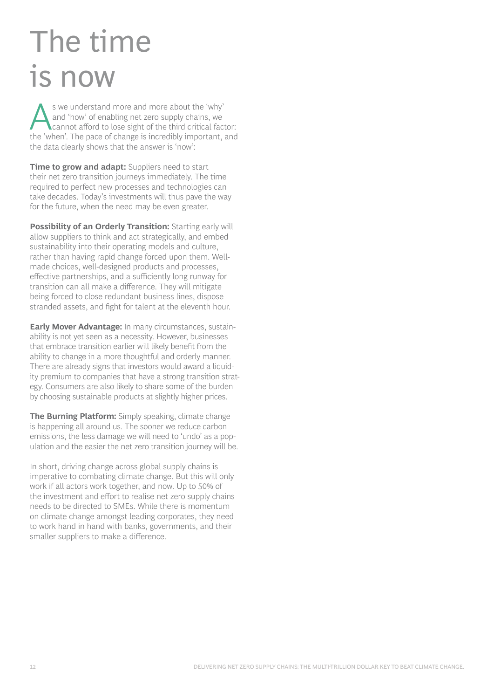# The time is now

S we understand more and more about the 'why'<br>
and 'how' of enabling net zero supply chains, we<br>
cannot afford to lose sight of the third critical factor:<br>
the 'when' The nese of shange is incredibly important, and and 'how' of enabling net zero supply chains, we the 'when'. The pace of change is incredibly important, and the data clearly shows that the answer is 'now':

**Time to grow and adapt:** Suppliers need to start their net zero transition journeys immediately. The time required to perfect new processes and technologies can take decades. Today's investments will thus pave the way for the future, when the need may be even greater.

**Possibility of an Orderly Transition:** Starting early will allow suppliers to think and act strategically, and embed sustainability into their operating models and culture, rather than having rapid change forced upon them. Wellmade choices, well-designed products and processes, effective partnerships, and a sufficiently long runway for transition can all make a difference. They will mitigate being forced to close redundant business lines, dispose stranded assets, and fight for talent at the eleventh hour.

**Early Mover Advantage:** In many circumstances, sustainability is not yet seen as a necessity. However, businesses that embrace transition earlier will likely benefit from the ability to change in a more thoughtful and orderly manner. There are already signs that investors would award a liquidity premium to companies that have a strong transition strategy. Consumers are also likely to share some of the burden by choosing sustainable products at slightly higher prices.

**The Burning Platform:** Simply speaking, climate change is happening all around us. The sooner we reduce carbon emissions, the less damage we will need to 'undo' as a population and the easier the net zero transition journey will be.

In short, driving change across global supply chains is imperative to combating climate change. But this will only work if all actors work together, and now. Up to 50% of the investment and effort to realise net zero supply chains needs to be directed to SMEs. While there is momentum on climate change amongst leading corporates, they need to work hand in hand with banks, governments, and their smaller suppliers to make a difference.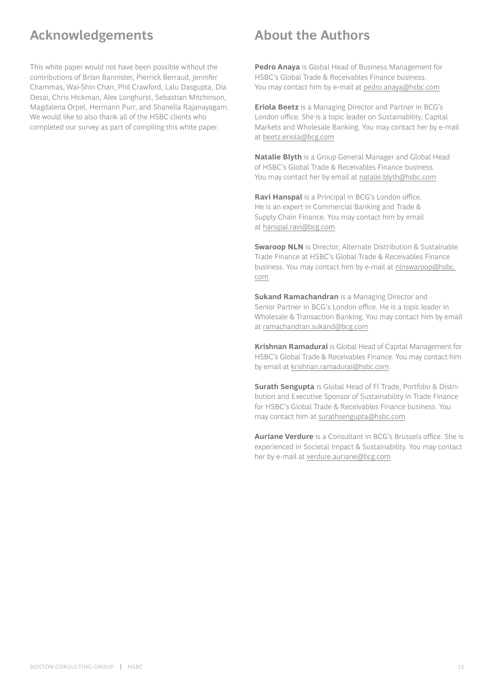### **Acknowledgements**

This white paper would not have been possible without the contributions of Brian Bannister, Pierrick Berraud, Jennifer Chammas, Wai-Shin Chan, Phil Crawford, Lalu Dasgupta, Dia Desai, Chris Hickman, Alex Longhurst, Sebastian Mitchinson, Magdalena Orpel, Hermann Purr, and Shanella Rajanayagam. We would like to also thank all of the HSBC clients who completed our survey as part of compiling this white paper.

### **About the Authors**

**Pedro Anaya** is Global Head of Business Management for HSBC's Global Trade & Receivables Finance business. You may contact him by e-mail at [pedro.anaya@hsbc.com](mailto:pedro.anaya%40hsbc.com?subject=)

**Eriola Beetz** is a Managing Director and Partner in BCG's London office. She is a topic leader on Sustainability, Capital Markets and Wholesale Banking. You may contact her by e-mail at [beetz.eriola@bcg.com](mailto:beetz.eriola%40bcg.com?subject=)

**Natalie Blyth** is a Group General Manager and Global Head of HSBC's Global Trade & Receivables Finance business. You may contact her by email at [natalie.blyth@hsbc.com](mailto:natalie.blyth%40hsbc.com?subject=)

**Ravi Hanspal** is a Principal in BCG's London office. He is an expert in Commercial Banking and Trade & Supply Chain Finance. You may contact him by email at [hanspal.ravi@bcg.com](mailto:hanspal.ravi%40bcg.com?subject=)

**Swaroop NLN** is Director, Alternate Distribution & Sustainable Trade Finance at HSBC's Global Trade & Receivables Finance business. You may contact him by e-mail at [nlnswaroop@hsbc.](mailto:nlnswaroop%40hsbc.com?subject=) [com](mailto:nlnswaroop%40hsbc.com?subject=)

**Sukand Ramachandran** is a Managing Director and Senior Partner in BCG's London office. He is a topic leader in Wholesale & Transaction Banking. You may contact him by email at [ramachandran.sukand@bcg.com](mailto:ramachandran.sukand%40bcg.com?subject=)

**Krishnan Ramadurai** is Global Head of Capital Management for HSBC's Global Trade & Receivables Finance. You may contact him by email at [krishnan.ramadurai@hsbc.com](mailto:krishnan.ramadurai%40hsbc.com?subject=)

**Surath Sengupta** is Global Head of FI Trade, Portfolio & Distribution and Executive Sponsor of Sustainability in Trade Finance for HSBC's Global Trade & Receivables Finance business. You may contact him at [surathsengupta@hsbc.com](mailto:surathsengupta%40hsbc.com?subject=)

**Auriane Verdure** is a Consultant in BCG's Brussels office. She is experienced in Societal Impact & Sustainability. You may contact her by e-mail at [verdure.auriane@bcg.com](mailto:verdure.auriane%40bcg.com?subject=)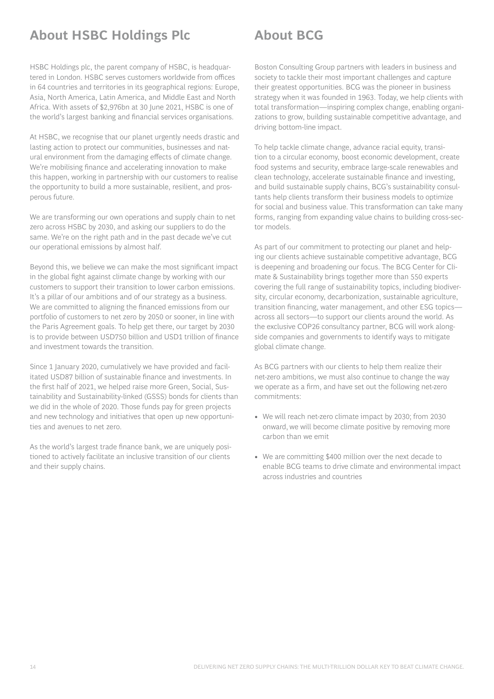### **About HSBC Holdings Plc**

HSBC Holdings plc, the parent company of HSBC, is headquartered in London. HSBC serves customers worldwide from offices in 64 countries and territories in its geographical regions: Europe, Asia, North America, Latin America, and Middle East and North Africa. With assets of \$2,976bn at 30 June 2021, HSBC is one of the world's largest banking and financial services organisations.

At HSBC, we recognise that our planet urgently needs drastic and lasting action to protect our communities, businesses and natural environment from the damaging effects of climate change. We're mobilising finance and accelerating innovation to make this happen, working in partnership with our customers to realise the opportunity to build a more sustainable, resilient, and prosperous future.

We are transforming our own operations and supply chain to net zero across HSBC by 2030, and asking our suppliers to do the same. We're on the right path and in the past decade we've cut our operational emissions by almost half.

Beyond this, we believe we can make the most significant impact in the global fight against climate change by working with our customers to support their transition to lower carbon emissions. It's a pillar of our ambitions and of our strategy as a business. We are committed to aligning the financed emissions from our portfolio of customers to net zero by 2050 or sooner, in line with the Paris Agreement goals. To help get there, our target by 2030 is to provide between USD750 billion and USD1 trillion of finance and investment towards the transition.

Since 1 January 2020, cumulatively we have provided and facilitated USD87 billion of sustainable finance and investments. In the first half of 2021, we helped raise more Green, Social, Sustainability and Sustainability-linked (GSSS) bonds for clients than we did in the whole of 2020. Those funds pay for green projects and new technology and initiatives that open up new opportunities and avenues to net zero.

As the world's largest trade finance bank, we are uniquely positioned to actively facilitate an inclusive transition of our clients and their supply chains.

### **About BCG**

Boston Consulting Group partners with leaders in business and society to tackle their most important challenges and capture their greatest opportunities. BCG was the pioneer in business strategy when it was founded in 1963. Today, we help clients with total transformation—inspiring complex change, enabling organizations to grow, building sustainable competitive advantage, and driving bottom-line impact.

To help tackle climate change, advance racial equity, transition to a circular economy, boost economic development, create food systems and security, embrace large-scale renewables and clean technology, accelerate sustainable finance and investing, and build sustainable supply chains, BCG's sustainability consultants help clients transform their business models to optimize for social and business value. This transformation can take many forms, ranging from expanding value chains to building cross-sector models.

As part of our commitment to protecting our planet and helping our clients achieve sustainable competitive advantage, BCG is deepening and broadening our focus. The BCG Center for Climate & Sustainability brings together more than 550 experts covering the full range of sustainability topics, including biodiversity, circular economy, decarbonization, sustainable agriculture, transition financing, water management, and other ESG topics across all sectors—to support our clients around the world. As the exclusive COP26 consultancy partner, BCG will work alongside companies and governments to identify ways to mitigate global climate change.

As BCG partners with our clients to help them realize their net-zero ambitions, we must also continue to change the way we operate as a firm, and have set out the following net-zero commitments:

- We will reach net-zero climate impact by 2030; from 2030 onward, we will become climate positive by removing more carbon than we emit
- We are committing \$400 million over the next decade to enable BCG teams to drive climate and environmental impact across industries and countries